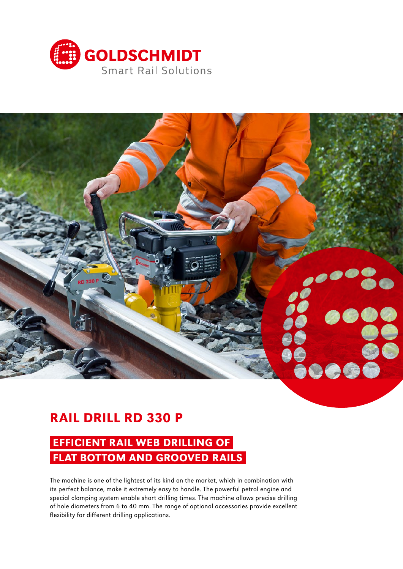



# RAIL DRILL RD 330 P

## EFFICIENT RAIL WEB DRILLING OF FLAT BOTTOM AND GROOVED RAILS

The machine is one of the lightest of its kind on the market, which in combination with its perfect balance, make it extremely easy to handle. The powerful petrol engine and special clamping system enable short drilling times. The machine allows precise drilling of hole diameters from 6 to 40 mm. The range of optional accessories provide excellent flexibility for different drilling applications.